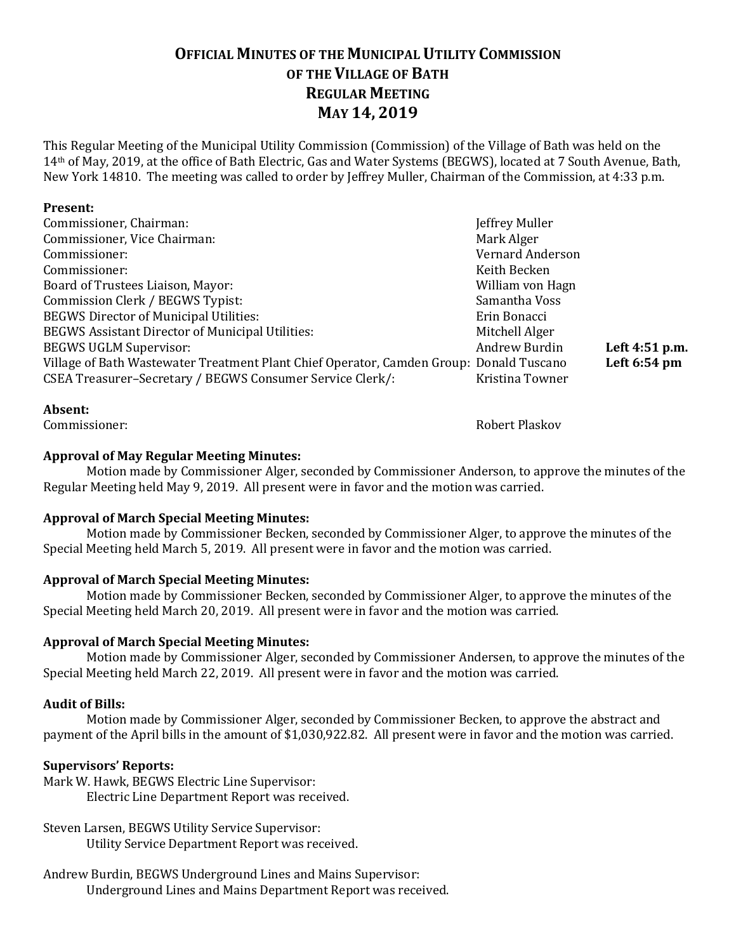## **OFFICIAL MINUTES OF THE MUNICIPAL UTILITY COMMISSION OF THE VILLAGE OF BATH REGULAR MEETING MAY 14, 2019**

This Regular Meeting of the Municipal Utility Commission (Commission) of the Village of Bath was held on the 14th of May, 2019, at the office of Bath Electric, Gas and Water Systems (BEGWS), located at 7 South Avenue, Bath, New York 14810. The meeting was called to order by Jeffrey Muller, Chairman of the Commission, at 4:33 p.m.

#### **Present:**

| Commissioner, Chairman:                                                                 | Jeffrey Muller   |                |
|-----------------------------------------------------------------------------------------|------------------|----------------|
| Commissioner, Vice Chairman:                                                            | Mark Alger       |                |
| Commissioner:                                                                           | Vernard Anderson |                |
| Commissioner:                                                                           | Keith Becken     |                |
| Board of Trustees Liaison, Mayor:                                                       | William von Hagn |                |
| Commission Clerk / BEGWS Typist:                                                        | Samantha Voss    |                |
| <b>BEGWS Director of Municipal Utilities:</b>                                           | Erin Bonacci     |                |
| <b>BEGWS Assistant Director of Municipal Utilities:</b>                                 | Mitchell Alger   |                |
| <b>BEGWS UGLM Supervisor:</b>                                                           | Andrew Burdin    | Left 4:51 p.m. |
| Village of Bath Wastewater Treatment Plant Chief Operator, Camden Group: Donald Tuscano |                  | Left 6:54 pm   |
| CSEA Treasurer-Secretary / BEGWS Consumer Service Clerk/:                               | Kristina Towner  |                |
|                                                                                         |                  |                |

#### **Absent:**

Commissioner: Robert Plaskov

#### **Approval of May Regular Meeting Minutes:**

Motion made by Commissioner Alger, seconded by Commissioner Anderson, to approve the minutes of the Regular Meeting held May 9, 2019. All present were in favor and the motion was carried.

#### **Approval of March Special Meeting Minutes:**

Motion made by Commissioner Becken, seconded by Commissioner Alger, to approve the minutes of the Special Meeting held March 5, 2019. All present were in favor and the motion was carried.

#### **Approval of March Special Meeting Minutes:**

Motion made by Commissioner Becken, seconded by Commissioner Alger, to approve the minutes of the Special Meeting held March 20, 2019. All present were in favor and the motion was carried.

#### **Approval of March Special Meeting Minutes:**

Motion made by Commissioner Alger, seconded by Commissioner Andersen, to approve the minutes of the Special Meeting held March 22, 2019. All present were in favor and the motion was carried.

#### **Audit of Bills:**

Motion made by Commissioner Alger, seconded by Commissioner Becken, to approve the abstract and payment of the April bills in the amount of \$1,030,922.82. All present were in favor and the motion was carried.

#### **Supervisors' Reports:**

Mark W. Hawk, BEGWS Electric Line Supervisor: Electric Line Department Report was received.

### Steven Larsen, BEGWS Utility Service Supervisor:

Utility Service Department Report was received.

Andrew Burdin, BEGWS Underground Lines and Mains Supervisor: Underground Lines and Mains Department Report was received.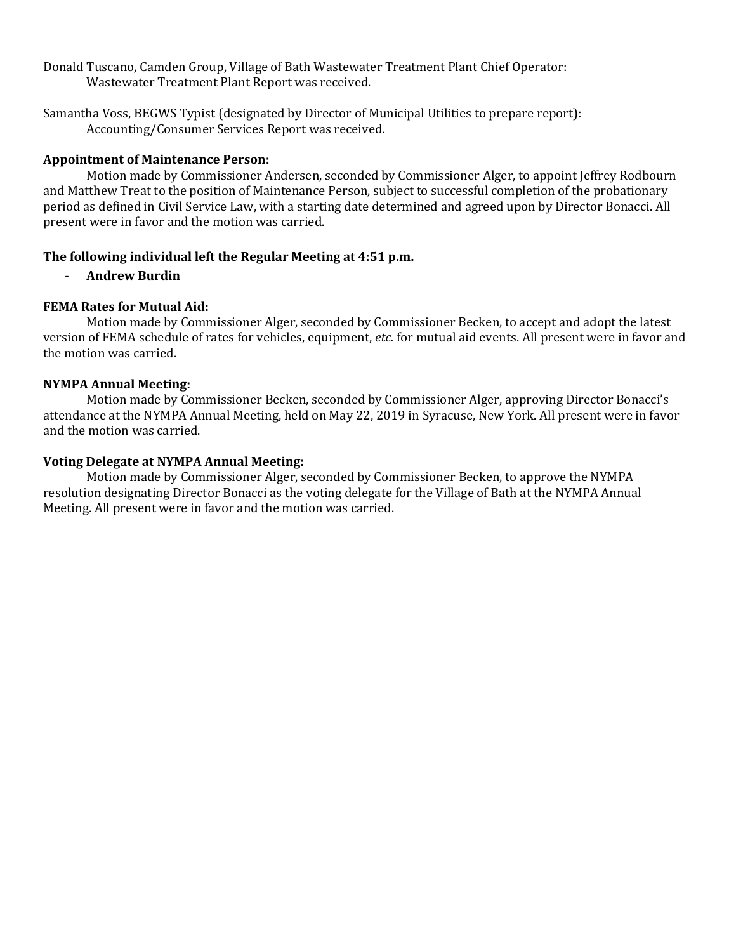Donald Tuscano, Camden Group, Village of Bath Wastewater Treatment Plant Chief Operator: Wastewater Treatment Plant Report was received.

Samantha Voss, BEGWS Typist (designated by Director of Municipal Utilities to prepare report): Accounting/Consumer Services Report was received.

#### **Appointment of Maintenance Person:**

Motion made by Commissioner Andersen, seconded by Commissioner Alger, to appoint Jeffrey Rodbourn and Matthew Treat to the position of Maintenance Person, subject to successful completion of the probationary period as defined in Civil Service Law, with a starting date determined and agreed upon by Director Bonacci. All present were in favor and the motion was carried.

#### **The following individual left the Regular Meeting at 4:51 p.m.**

- **Andrew Burdin**

#### **FEMA Rates for Mutual Aid:**

Motion made by Commissioner Alger, seconded by Commissioner Becken, to accept and adopt the latest version of FEMA schedule of rates for vehicles, equipment, *etc.* for mutual aid events. All present were in favor and the motion was carried.

#### **NYMPA Annual Meeting:**

Motion made by Commissioner Becken, seconded by Commissioner Alger, approving Director Bonacci's attendance at the NYMPA Annual Meeting, held on May 22, 2019 in Syracuse, New York. All present were in favor and the motion was carried.

#### **Voting Delegate at NYMPA Annual Meeting:**

Motion made by Commissioner Alger, seconded by Commissioner Becken, to approve the NYMPA resolution designating Director Bonacci as the voting delegate for the Village of Bath at the NYMPA Annual Meeting. All present were in favor and the motion was carried.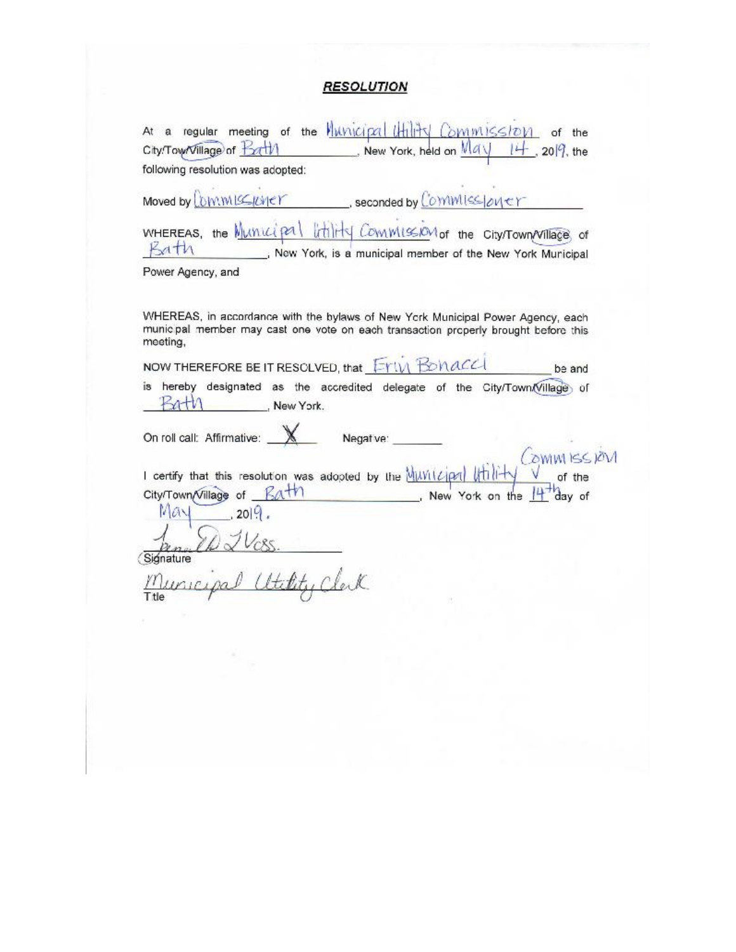# **RESOLUTION**

| City/Tow/Village of <b>Extil</b>             | New York, held on $\overline{M}a \sqrt{1 + 20}$ , the                                                                                                                  |
|----------------------------------------------|------------------------------------------------------------------------------------------------------------------------------------------------------------------------|
| following resolution was adopted:            |                                                                                                                                                                        |
|                                              | Moved by Commissioner seconded by Commissioner                                                                                                                         |
| $B$ ath                                      | WHEREAS, the Municipal littlity Commission of the City/Town/Village of<br>New York, is a municipal member of the New York Municipal                                    |
| Power Agency, and                            |                                                                                                                                                                        |
|                                              |                                                                                                                                                                        |
| meeting,                                     | WHEREAS, in accordance with the bylaws of New York Municipal Power Agency, each<br>municipal member may cast one vote on each transaction properly brought before this |
|                                              |                                                                                                                                                                        |
|                                              | NOW THEREFORE BE IT RESOLVED, that EYIM BONACCI<br>be and                                                                                                              |
| $PartN$ New York.                            | hereby designated as the accredited delegate of the City/Town/Village of                                                                                               |
| is<br>On roll call: Affirmative: $\mathbb X$ | Negative:                                                                                                                                                              |
|                                              | OWM ISSION                                                                                                                                                             |
| City/Town/Village of <b>Bath</b>             | I certify that this resolution was adopted by the Muvilzipal Utility<br>New York on the                                                                                |
| ray<br>.2019.                                |                                                                                                                                                                        |
| Signature                                    |                                                                                                                                                                        |
| pal attitud                                  |                                                                                                                                                                        |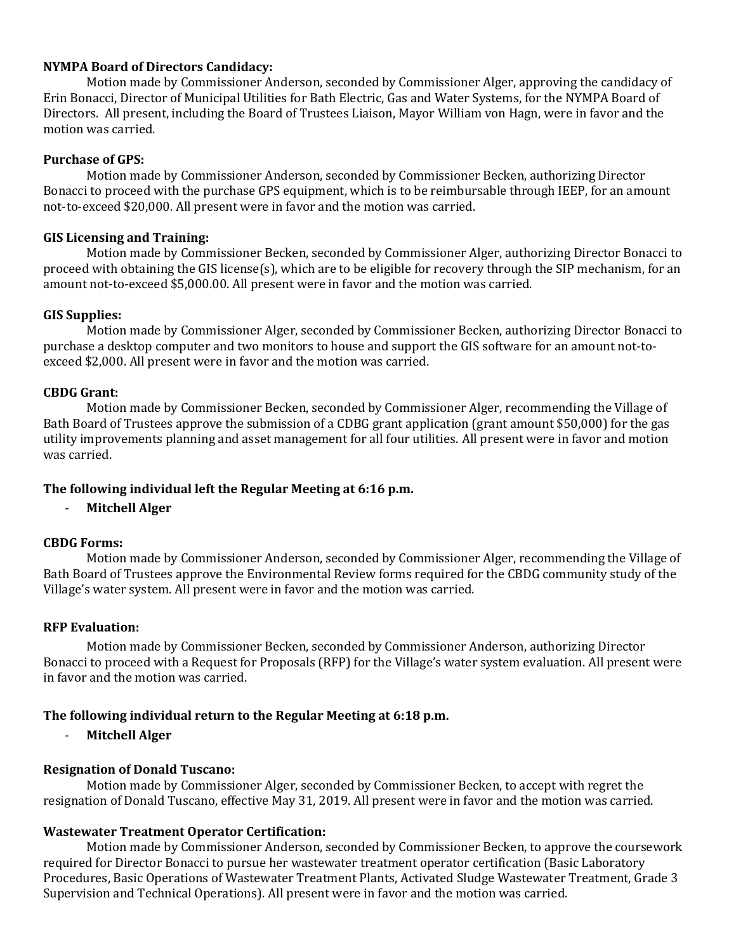#### **NYMPA Board of Directors Candidacy:**

Motion made by Commissioner Anderson, seconded by Commissioner Alger, approving the candidacy of Erin Bonacci, Director of Municipal Utilities for Bath Electric, Gas and Water Systems, for the NYMPA Board of Directors. All present, including the Board of Trustees Liaison, Mayor William von Hagn, were in favor and the motion was carried.

#### **Purchase of GPS:**

Motion made by Commissioner Anderson, seconded by Commissioner Becken, authorizing Director Bonacci to proceed with the purchase GPS equipment, which is to be reimbursable through IEEP, for an amount not-to-exceed \$20,000. All present were in favor and the motion was carried.

#### **GIS Licensing and Training:**

Motion made by Commissioner Becken, seconded by Commissioner Alger, authorizing Director Bonacci to proceed with obtaining the GIS license(s), which are to be eligible for recovery through the SIP mechanism, for an amount not-to-exceed \$5,000.00. All present were in favor and the motion was carried.

#### **GIS Supplies:**

Motion made by Commissioner Alger, seconded by Commissioner Becken, authorizing Director Bonacci to purchase a desktop computer and two monitors to house and support the GIS software for an amount not-toexceed \$2,000. All present were in favor and the motion was carried.

#### **CBDG Grant:**

Motion made by Commissioner Becken, seconded by Commissioner Alger, recommending the Village of Bath Board of Trustees approve the submission of a CDBG grant application (grant amount \$50,000) for the gas utility improvements planning and asset management for all four utilities. All present were in favor and motion was carried.

#### **The following individual left the Regular Meeting at 6:16 p.m.**

- **Mitchell Alger**

#### **CBDG Forms:**

Motion made by Commissioner Anderson, seconded by Commissioner Alger, recommending the Village of Bath Board of Trustees approve the Environmental Review forms required for the CBDG community study of the Village's water system. All present were in favor and the motion was carried.

#### **RFP Evaluation:**

Motion made by Commissioner Becken, seconded by Commissioner Anderson, authorizing Director Bonacci to proceed with a Request for Proposals (RFP) for the Village's water system evaluation. All present were in favor and the motion was carried.

#### **The following individual return to the Regular Meeting at 6:18 p.m.**

- **Mitchell Alger**

#### **Resignation of Donald Tuscano:**

Motion made by Commissioner Alger, seconded by Commissioner Becken, to accept with regret the resignation of Donald Tuscano, effective May 31, 2019. All present were in favor and the motion was carried.

#### **Wastewater Treatment Operator Certification:**

Motion made by Commissioner Anderson, seconded by Commissioner Becken, to approve the coursework required for Director Bonacci to pursue her wastewater treatment operator certification (Basic Laboratory Procedures, Basic Operations of Wastewater Treatment Plants, Activated Sludge Wastewater Treatment, Grade 3 Supervision and Technical Operations). All present were in favor and the motion was carried.